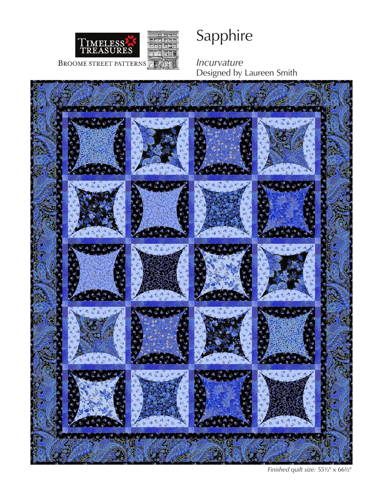

# Sapphire

*Incurvature*  Designed by Laureen Smith



*Finished quilt size:* 55½" x 66½"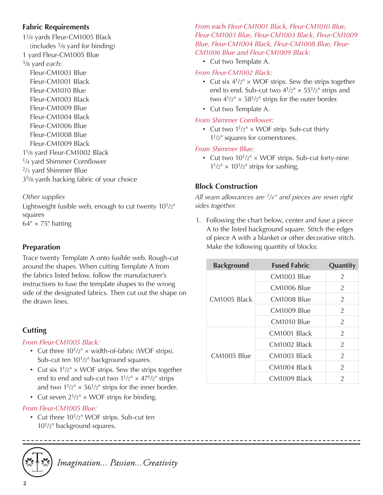#### **Fabric Requirements**

13/4 yards Fleur-CM1005 Black (includes 5/8 yard for binding) 1 yard Fleur-CM1005 Blue 3/8 yard *each*: Fleur-CM1003 Blue Fleur-CM1001 Black Fleur-CM1010 Blue Fleur-CM1003 Black Fleur-CM1009 Blue Fleur-CM1004 Black Fleur-CM1006 Blue Fleur-CM1008 Blue Fleur-CM1009 Black 11/8 yard Fleur-CM1002 Black 1/4 yard Shimmer Cornflower 2/3 yard Shimmer Blue 35/8 yards backing fabric of your choice

#### *Other supplies*

Lightweight fusible web, enough to cut twenty  $10^{1/2}$ " squares  $64^{\circ} \times 75^{\circ}$  batting

# **Preparation**

Trace twenty Template A onto fusible web. Rough-cut around the shapes. When cutting Template A from the fabrics listed below, follow the manufacturer's instructions to fuse the template shapes to the wrong side of the designated fabrics. Then cut out the shape on the drawn lines.

# **Cutting**

#### *From Fleur-CM1005 Black:*

- Cut three  $10^{1/2^{n}} \times$  width-of-fabric (WOF strips). Sub-cut ten 10<sup>1</sup>/<sub>2</sub>" background squares.
- Cut six  $1^{1/2^{n}} \times WOF$  strips. Sew the strips together end to end and sub-cut two  $1^{1/2}$ "  $\times$  47 $^{1/2}$ " strips and two  $1^{1/2^{n}} \times 56^{1/2^{n}}$  strips for the inner border.
- Cut seven  $2^{1/2}$ "  $\times$  WOF strips for binding.

#### *From Fleur-CM1005 Blue:*

• Cut three 10<sup>1</sup>/2" WOF strips. Sub-cut ten 101/2" background squares.



Imagination... Passion... Creativity

*From* each *Fleur-CM1001 Black, Fleur-CM1010 Blue, Fleur-CM1003 Blue, Fleur-CM1003 Black, Fleur-CM1009 Blue, Fleur-CM1004 Black, Fleur-CM1008 Blue, Fleur-CM1006 Blue and Fleur-CM1009 Black:*

• Cut two Template A.

#### *From Fleur-CM1002 Black:*

- Cut six  $4^{1}/2^{n}$  × WOF strips. Sew the strips together end to end. Sub-cut two  $4^{1}/2^{n} \times 55^{1}/2^{n}$  strips and two  $4^{1/2}$ "  $\times$  58<sup>1</sup>/2" strips for the outer border.
- Cut two Template A.

#### *From Shimmer Cornflower:*

• Cut two  $1^{1}/2'' \times WOF$  strip. Sub-cut thirty  $1<sup>1</sup>/2<sup>II</sup>$  squares for cornerstones.

#### *From Shimmer Blue:*

• Cut two  $10^{1/2}$ "  $\times$  WOF strips. Sub-cut forty-nine  $1^{1/2^{n}} \times 10^{1/2^{n}}$  strips for sashing.

## **Block Construction**

*All seam allowances are 1/4" and pieces are sewn right sides together.*

1. Following the chart below, center and fuse a piece A to the listed background square. Stitch the edges of piece A with a blanket or other decorative stitch. Make the following quantity of blocks:

| <b>Background</b> | <b>Fused Fabric</b> | Quantity      |
|-------------------|---------------------|---------------|
| CM1005 Black      | CM1003 Blue         | $\mathcal{P}$ |
|                   | CM1006 Blue         | $\mathcal{P}$ |
|                   | CM1008 Blue         | $\mathcal{P}$ |
|                   | CM1009 Blue         | $\mathcal{P}$ |
|                   | CM1010 Blue         | $\mathcal{P}$ |
| CM1005 Blue       | CM1001 Black        | 2             |
|                   | CM1002 Black        | $\mathcal{P}$ |
|                   | CM1003 Black        | $\mathcal{P}$ |
|                   | CM1004 Black        | $\mathcal{P}$ |
|                   | CM1009 Black        | $\mathcal{P}$ |